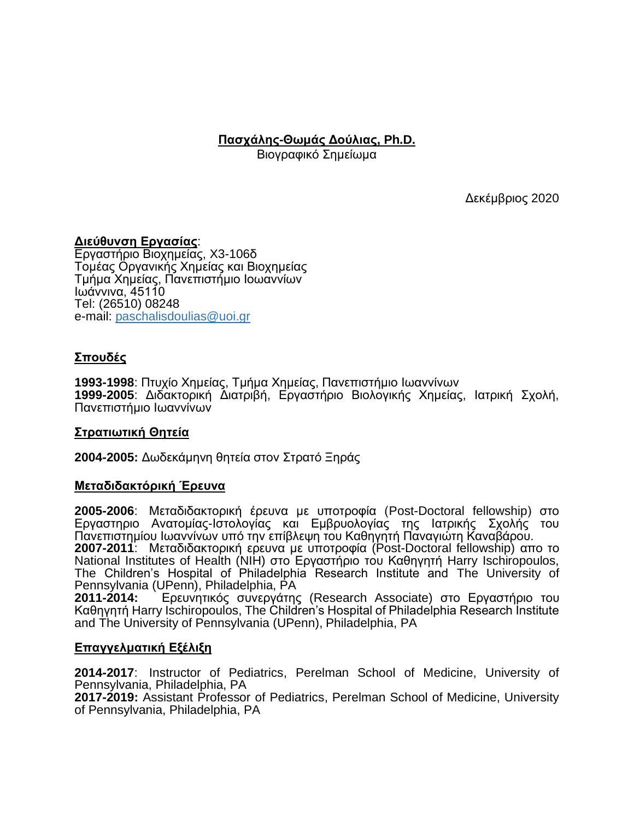**Πασχάλης-Θωμάς Δούλιας, Ph.D.**

Βιογραφικό Σημείωμα

Δεκέμβριος 2020

### **Διεύθυνση Εργασίας**:

Εργαστήριο Βιοχημείας, X3-106δ Τομέας Οργανικής Χημείας και Βιοχημείας Τμήμα Χημείας, Πανεπιστήμιο Ιοωαννίων Ιωάννινα, 45110 Tel: (26510) 08248 e-mail: paschali[sdoulias@uoi.gr](mailto:doulias@uoi.gr)

## **Σπουδές**

**1993-1998**: Πτυχίο Χημείας, Τμήμα Χημείας, Πανεπιστήμιο Ιωαννίνων **1999-2005**: Διδακτορική Διατριβή, Εργαστήριο Βιολογικής Χημείας, Ιατρική Σχολή, Πανεπιστήμιο Ιωαννίνων

#### **Στρατιωτική Θητεία**

**2004-2005:** Δωδεκάμηνη θητεία στον Στρατό Ξηράς

### **Μεταδιδακτόρική Έρευνα**

**2005-2006**: Μεταδιδακτορική έρευνα με υποτροφία (Post-Doctoral fellowship) στο Εργαστηριο Ανατομίας-Ιστολογίας και Εμβρυολογίας της Ιατρικής Σχολής του Πανεπιστημίου Ιωαννίνων υπό την επίβλεψη του Καθηγητή Παναγιώτη Καναβάρου.

**2007-2011**: Μεταδιδακτορική ερευνα με υποτροφία (Post-Doctoral fellowship) απο το National Institutes of Health (NIH) στο Εργαστήριο του Καθηγητή Harry Ischiropoulos, The Children's Hospital of Philadelphia Research Institute and The University of Pennsylvania (UPenn), Philadelphia, PA

**2011-2014:** Ερευνητικός συνεργάτης (Research Associate) στο Εργαστήριο του Καθηγητή Harry Ischiropoulos, The Children's Hospital of Philadelphia Research Institute and The University of Pennsylvania (UPenn), Philadelphia, PA

#### **Επαγγελματική Εξέλιξη**

**2014-2017**: Instructor of Pediatrics, Perelman School of Medicine, University of Pennsylvania, Philadelphia, PA

**2017-2019:** Assistant Professor of Pediatrics, Perelman School of Medicine, University of Pennsylvania, Philadelphia, PA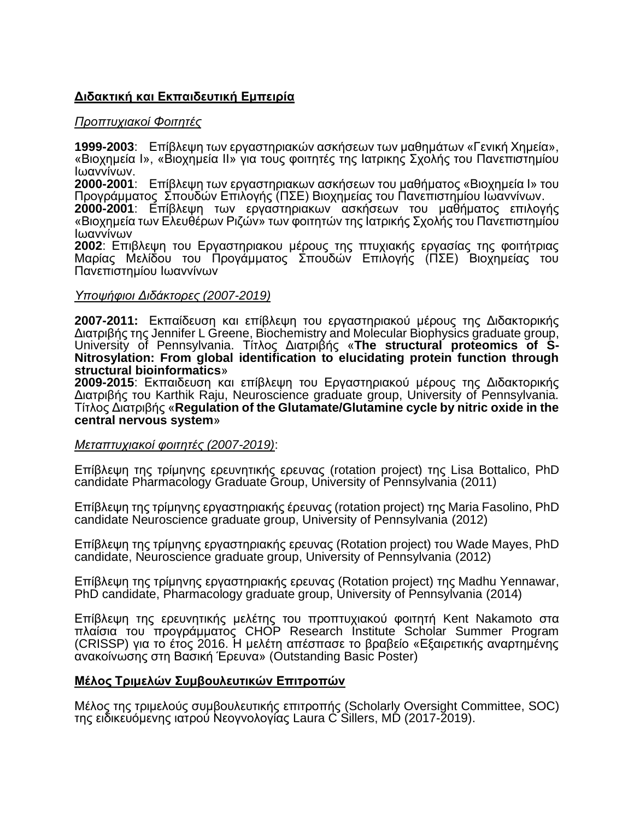# **Διδακτική και Εκπαιδευτική Εμπειρία**

### *Προπτυχιακοί Φοιτητές*

**1999-2003**: Επίβλεψη των εργαστηριακών ασκήσεων των μαθημάτων «Γενική Χημεία», «Βιοχημεία Ι», «Βιοχημεία ΙΙ» για τους φοιτητές της Ιατρικης Σχολής του Πανεπιστημίου Ιωαννίνων.

**2000-2001**: Επίβλεψη των εργαστηριακων ασκήσεων του μαθήματος «Βιοχημεία Ι» του Προγράμματος Σπουδών Επιλογής (ΠΣΕ) Βιοχημείας του Πανεπιστημίου Ιωαννίνων.

**2000-2001**: Επίβλεψη των εργαστηριακων ασκήσεων του μαθήματος επιλογής «Βιοχημεία των Ελευθέρων Ριζών» των φοιτητών της Ιατρικής Σχολής του Πανεπιστημίου Ιωαννίνων

**2002**: Επιβλεψη του Εργαστηριακου μέρους της πτυχιακής εργασίας της φοιτήτριας Μαρίας Μελίδου του Προγάμματος Σπουδών Επιλογής (ΠΣΕ) Βιοχημείας του Πανεπιστημίου Ιωαννίνων

#### *Υποψήφιοι Διδάκτορες (2007-2019)*

**2007-2011:** Εκπαίδευση και επίβλεψη του εργαστηριακού μέρους της Διδακτορικής Διατριβής της Jennifer L Greene, Biochemistry and Molecular Biophysics graduate group, University of Pennsylvania. Τίτλος Διατριβής «**The structural proteomics of S-Nitrosylation: From global identification to elucidating protein function through structural bioinformatics**»

**2009-2015**: Εκπαιδευση και επίβλεψη του Εργαστηριακού μέρους της Διδακτορικής Διατριβής του Karthik Raju, Neuroscience graduate group, University of Pennsylvania. Τίτλος Διατριβής «**Regulation of the Glutamate/Glutamine cycle by nitric oxide in the central nervous system**»

#### *Μεταπτυχιακοί φοιτητές (2007-2019)*:

Επίβλεψη της τρίμηνης ερευνητικής ερευνας (rotation project) της Lisa Bottalico, PhD candidate Pharmacology Graduate Group, University of Pennsylvania (2011)

Επίβλεψη της τρίμηνης εργαστηριακής έρευνας (rotation project) της Maria Fasolino, PhD candidate Neuroscience graduate group, University of Pennsylvania (2012)

Επίβλεψη της τρίμηνης εργαστηριακής ερευνας (Rotation project) του Wade Mayes, PhD candidate, Neuroscience graduate group, University of Pennsylvania (2012)

Επίβλεψη της τρίμηνης εργαστηριακής ερευνας (Rotation project) της Madhu Yennawar, PhD candidate, Pharmacology graduate group, University of Pennsylvania (2014)

Επίβλεψη της ερευνητικής μελέτης του προπτυχιακού φοιτητή Kent Nakamoto στα πλαίσια του προγράμματος CHOP Research Institute Scholar Summer Program (CRISSP) για το έτος 2016. Η μελέτη απέσπασε το βραβείο «Εξαιρετικής αναρτημένης ανακοίνωσης στη Βασική Έρευνα» (Outstanding Basic Poster)

### **Μέλος Τριμελών Συμβουλευτικών Επιτροπών**

Μέλος της τριμελούς συμβουλευτικής επιτροπής (Scholarly Oversight Committee, SOC) της ειδικευόμενης ιατρού Νεογνολογίας Laura C Sillers, MD (2017-2019).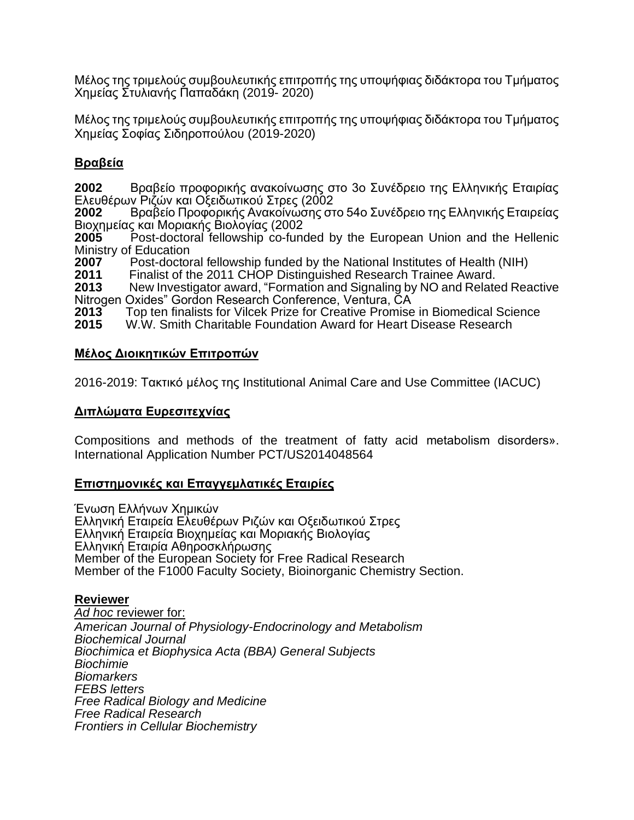Μέλος της τριμελούς συμβουλευτικής επιτροπής της υποψήφιας διδάκτορα του Τμήματος Χημείας Στυλιανής Παπαδάκη (2019- 2020)

Μέλος της τριμελούς συμβουλευτικής επιτροπής της υποψήφιας διδάκτορα του Τμήματος Χημείας Σοφίας Σιδηροπούλου (2019-2020)

# **Βραβεία**

**2002** Βραβείο προφορικής ανακοίνωσης στο 3ο Συνέδρειο της Ελληνικής Εταιρίας Ελευθέρων Ριζών και Οξειδωτικού Στρες (2002

**2002** Βραβείο Προφορικής Ανακοίνωσης στο 54ο Συνέδρειο της Ελληνικής Εταιρείας Βιοχημείας και Μοριακής Βιολογίας (2002

**2005** Post-doctoral fellowship co-funded by the European Union and the Hellenic Ministry of Education<br>2007 Post-doctor

**2007** Post-doctoral fellowship funded by the National Institutes of Health (NIH)<br>**2011** Finalist of the 2011 CHOP Distinguished Research Trainee Award.

**2011** Finalist of the 2011 CHOP Distinguished Research Trainee Award.

**2013** New Investigator award, "Formation and Signaling by NO and Related Reactive Nitrogen Oxides" Gordon Research Conference, Ventura, CA

**2013** Top ten finalists for Vilcek Prize for Creative Promise in Biomedical Science

**2015** W.W. Smith Charitable Foundation Award for Heart Disease Research

### **Μέλος Διοικητικών Επιτροπών**

2016-2019: Τακτικό μέλος της Institutional Animal Care and Use Committee (IACUC)

## **Διπλώματα Ευρεσιτεχνίας**

Compositions and methods of the treatment of fatty acid metabolism disorders». International Application Number PCT/US2014048564

### **Επιστημονικές και Επαγγεμλατικές Εταιρίες**

Ένωση Ελλήνων Χημικών Ελληνική Εταιρεία Ελευθέρων Ριζών και Οξειδωτικού Στρες Ελληνική Εταιρεία Βιοχηµείας και Μοριακής Βιολογίας Ελληνική Εταιρία Αθηροσκλήρωσης Member of the European Society for Free Radical Research Member of the F1000 Faculty Society, Bioinorganic Chemistry Section.

### **Reviewer**

*Ad hoc* reviewer for: *American Journal of Physiology-Endocrinology and Metabolism Biochemical Journal Biochimica et Biophysica Acta (BBA) General Subjects Biochimie Biomarkers FEBS letters Free Radical Biology and Medicine Free Radical Research Frontiers in Cellular Biochemistry*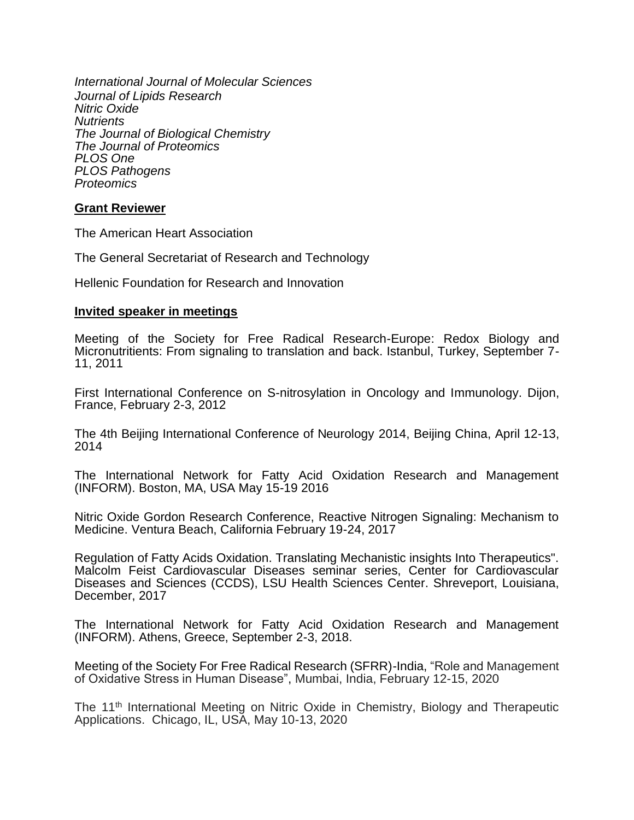*International Journal of Molecular Sciences Journal of Lipids Research Nitric Oxide Nutrients The Journal of Biological Chemistry The Journal of Proteomics PLOS One PLOS Pathogens Proteomics*

#### **Grant Reviewer**

The American Heart Association

The General Secretariat of Research and Technology

Hellenic Foundation for Research and Innovation

#### **Invited speaker in meetings**

Meeting of the Society for Free Radical Research-Europe: Redox Biology and Micronutritients: From signaling to translation and back. Istanbul, Turkey, September 7- 11, 2011

First International Conference on S-nitrosylation in Oncology and Immunology. Dijon, France, February 2-3, 2012

The 4th Beijing International Conference of Neurology 2014, Beijing China, April 12-13, 2014

The International Network for Fatty Acid Oxidation Research and Management (INFORM). Boston, MA, USA May 15-19 2016

Nitric Oxide Gordon Research Conference, Reactive Nitrogen Signaling: Mechanism to Medicine. Ventura Beach, California February 19-24, 2017

Regulation of Fatty Acids Oxidation. Translating Mechanistic insights Into Therapeutics". Malcolm Feist Cardiovascular Diseases seminar series, Center for Cardiovascular Diseases and Sciences (CCDS), LSU Health Sciences Center. Shreveport, Louisiana, December, 2017

The International Network for Fatty Acid Oxidation Research and Management (INFORM). Athens, Greece, September 2-3, 2018.

Meeting of the Society For Free Radical Research (SFRR)-India, "Role and Management of Oxidative Stress in Human Disease", Mumbai, India, February 12-15, 2020

The 11th International Meeting on Nitric Oxide in Chemistry, Biology and Therapeutic Applications. Chicago, IL, USA, May 10-13, 2020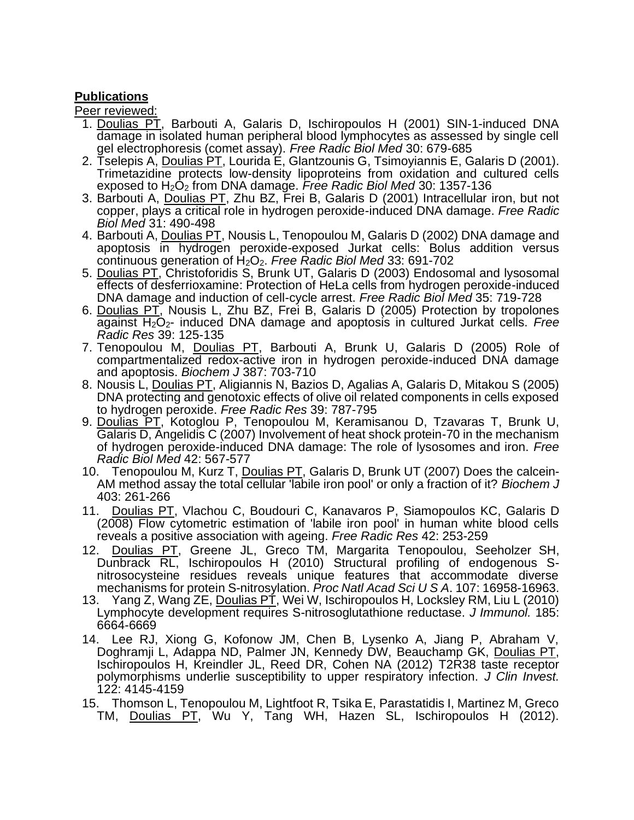## **Publications**

Peer reviewed:

- 1. [Doulias PT,](http://proxy.library.upenn.edu:2079/DaisyOneClickSearch.do?product=WOS&search_mode=DaisyOneClickSearch&db_id=&SID=4D7DfBAGB9JLG@f2I1O&name=Doulias%20PT&ut=000167535300011&pos=1) [Barbouti A,](http://proxy.library.upenn.edu:2079/DaisyOneClickSearch.do?product=WOS&search_mode=DaisyOneClickSearch&db_id=&SID=4D7DfBAGB9JLG@f2I1O&name=Barbouti%20A&ut=000167535300011&pos=2) [Galaris D,](http://proxy.library.upenn.edu:2079/DaisyOneClickSearch.do?product=WOS&search_mode=DaisyOneClickSearch&db_id=&SID=4D7DfBAGB9JLG@f2I1O&name=Galaris%20D&ut=000167535300011&pos=3) [Ischiropoulos H](http://proxy.library.upenn.edu:2079/DaisyOneClickSearch.do?product=WOS&search_mode=DaisyOneClickSearch&db_id=&SID=4D7DfBAGB9JLG@f2I1O&name=Ischiropoulos%20H&ut=000167535300011&pos=4) (2001) SIN-1-induced DNA damage in isolated human peripheral blood lymphocytes as assessed by single cell gel electrophoresis (comet assay). *Free Radic Biol Med* 30: 679-685
- 2. [Tselepis A,](http://proxy.library.upenn.edu:2079/DaisyOneClickSearch.do?product=WOS&search_mode=DaisyOneClickSearch&db_id=&SID=4D7DfBAGB9JLG@f2I1O&name=Tselepis%20A&ut=000169257400003&pos=1) [Doulias PT,](http://proxy.library.upenn.edu:2079/DaisyOneClickSearch.do?product=WOS&search_mode=DaisyOneClickSearch&db_id=&SID=4D7DfBAGB9JLG@f2I1O&name=Doulias%20PT&ut=000169257400003&pos=2) [Lourida E,](http://proxy.library.upenn.edu:2079/DaisyOneClickSearch.do?product=WOS&search_mode=DaisyOneClickSearch&db_id=&SID=4D7DfBAGB9JLG@f2I1O&name=Lourida%20E&ut=000169257400003&pos=3) [Glantzounis G,](http://proxy.library.upenn.edu:2079/DaisyOneClickSearch.do?product=WOS&search_mode=DaisyOneClickSearch&db_id=&SID=4D7DfBAGB9JLG@f2I1O&name=Glantzounis%20G&ut=000169257400003&pos=4) [Tsimoyiannis E,](http://proxy.library.upenn.edu:2079/DaisyOneClickSearch.do?product=WOS&search_mode=DaisyOneClickSearch&db_id=&SID=4D7DfBAGB9JLG@f2I1O&name=Tsimoyiannis%20E&ut=000169257400003&pos=5) [Galaris D](http://proxy.library.upenn.edu:2079/DaisyOneClickSearch.do?product=WOS&search_mode=DaisyOneClickSearch&db_id=&SID=4D7DfBAGB9JLG@f2I1O&name=Galaris%20D&ut=000169257400003&pos=6) (2001). Trimetazidine protects low-density lipoproteins from oxidation and cultured cells exposed to H2O<sup>2</sup> from DNA damage. *Free Radic Biol Med* 30: 1357-136
- 3. [Barbouti A,](http://proxy.library.upenn.edu:2079/DaisyOneClickSearch.do?product=WOS&search_mode=DaisyOneClickSearch&db_id=&SID=4D7DfBAGB9JLG@f2I1O&name=Barbouti%20A&ut=000170883600008&pos=1) [Doulias PT,](http://proxy.library.upenn.edu:2079/DaisyOneClickSearch.do?product=WOS&search_mode=DaisyOneClickSearch&db_id=&SID=4D7DfBAGB9JLG@f2I1O&name=Doulias%20PT&ut=000170883600008&pos=2) [Zhu BZ,](http://proxy.library.upenn.edu:2079/DaisyOneClickSearch.do?product=WOS&search_mode=DaisyOneClickSearch&db_id=&SID=4D7DfBAGB9JLG@f2I1O&name=Zhu%20BZ&ut=000170883600008&pos=3) [Frei B,](http://proxy.library.upenn.edu:2079/DaisyOneClickSearch.do?product=WOS&search_mode=DaisyOneClickSearch&db_id=&SID=4D7DfBAGB9JLG@f2I1O&name=Frei%20B&ut=000170883600008&pos=4) [Galaris D](http://proxy.library.upenn.edu:2079/DaisyOneClickSearch.do?product=WOS&search_mode=DaisyOneClickSearch&db_id=&SID=4D7DfBAGB9JLG@f2I1O&name=Galaris%20D&ut=000170883600008&pos=5) (2001) Intracellular iron, but not copper, plays a critical role in hydrogen peroxide-induced DNA damage. *Free Radic Biol Med* 31: 490-498
- 4. [Barbouti A,](http://proxy.library.upenn.edu:2079/DaisyOneClickSearch.do?product=WOS&search_mode=DaisyOneClickSearch&db_id=&SID=4D7DfBAGB9JLG@f2I1O&name=Barbouti%20A&ut=000177680900015&pos=1) [Doulias PT,](http://proxy.library.upenn.edu:2079/DaisyOneClickSearch.do?product=WOS&search_mode=DaisyOneClickSearch&db_id=&SID=4D7DfBAGB9JLG@f2I1O&name=Doulias%20PT&ut=000177680900015&pos=2) [Nousis L,](http://proxy.library.upenn.edu:2079/DaisyOneClickSearch.do?product=WOS&search_mode=DaisyOneClickSearch&db_id=&SID=4D7DfBAGB9JLG@f2I1O&name=Nousis%20L&ut=000177680900015&pos=3) [Tenopoulou M,](http://proxy.library.upenn.edu:2079/DaisyOneClickSearch.do?product=WOS&search_mode=DaisyOneClickSearch&db_id=&SID=4D7DfBAGB9JLG@f2I1O&name=Tenopoulou%20M&ut=000177680900015&pos=4) [Galaris D](http://proxy.library.upenn.edu:2079/DaisyOneClickSearch.do?product=WOS&search_mode=DaisyOneClickSearch&db_id=&SID=4D7DfBAGB9JLG@f2I1O&name=Galaris%20D&ut=000177680900015&pos=5) (2002) DNA damage and apoptosis in hydrogen peroxide-exposed Jurkat cells: Bolus addition versus continuous generation of H2O2. *Free Radic Biol Med* 33: 691-702
- 5. [Doulias PT,](http://proxy.library.upenn.edu:2079/DaisyOneClickSearch.do?product=WOS&search_mode=DaisyOneClickSearch&db_id=&SID=4D7DfBAGB9JLG@f2I1O&name=Doulias%20PT&ut=000185520900003&pos=1) [Christoforidis S,](http://proxy.library.upenn.edu:2079/DaisyOneClickSearch.do?product=WOS&search_mode=DaisyOneClickSearch&db_id=&SID=4D7DfBAGB9JLG@f2I1O&name=Christoforidis%20S&ut=000185520900003&pos=2) [Brunk UT,](http://proxy.library.upenn.edu:2079/DaisyOneClickSearch.do?product=WOS&search_mode=DaisyOneClickSearch&db_id=&SID=4D7DfBAGB9JLG@f2I1O&name=Brunk%20UT&ut=000185520900003&pos=3) [Galaris D](http://proxy.library.upenn.edu:2079/DaisyOneClickSearch.do?product=WOS&search_mode=DaisyOneClickSearch&db_id=&SID=4D7DfBAGB9JLG@f2I1O&name=Galaris%20D&ut=000185520900003&pos=4) (2003) Endosomal and lysosomal effects of desferrioxamine: Protection of HeLa cells from hydrogen peroxide-induced DNA damage and induction of cell-cycle arrest. *Free Radic Biol Med* 35: 719-728
- 6. [Doulias PT,](http://proxy.library.upenn.edu:2079/DaisyOneClickSearch.do?product=WOS&search_mode=DaisyOneClickSearch&db_id=&SID=4D7DfBAGB9JLG@f2I1O&name=Doulias%20PT&ut=000227953800002&pos=1) [Nousis L,](http://proxy.library.upenn.edu:2079/DaisyOneClickSearch.do?product=WOS&search_mode=DaisyOneClickSearch&db_id=&SID=4D7DfBAGB9JLG@f2I1O&name=Nousis%20L&ut=000227953800002&pos=2) [Zhu BZ,](http://proxy.library.upenn.edu:2079/DaisyOneClickSearch.do?product=WOS&search_mode=DaisyOneClickSearch&db_id=&SID=4D7DfBAGB9JLG@f2I1O&name=Zhu%20BZ&ut=000227953800002&pos=3) [Frei B,](http://proxy.library.upenn.edu:2079/DaisyOneClickSearch.do?product=WOS&search_mode=DaisyOneClickSearch&db_id=&SID=4D7DfBAGB9JLG@f2I1O&name=Frei%20B&ut=000227953800002&pos=4) [Galaris D](http://proxy.library.upenn.edu:2079/DaisyOneClickSearch.do?product=WOS&search_mode=DaisyOneClickSearch&db_id=&SID=4D7DfBAGB9JLG@f2I1O&name=Galaris%20D&ut=000227953800002&pos=5) (2005) Protection by tropolones against H2O2- induced DNA damage and apoptosis in cultured Jurkat cells. *Free Radic Res* 39: 125-135
- 7. [Tenopoulou M,](http://proxy.library.upenn.edu:2079/DaisyOneClickSearch.do?product=WOS&search_mode=DaisyOneClickSearch&db_id=&SID=4D7DfBAGB9JLG@f2I1O&name=Tenopoulou%20M&ut=000229135600016&pos=1) [Doulias PT,](http://proxy.library.upenn.edu:2079/DaisyOneClickSearch.do?product=WOS&search_mode=DaisyOneClickSearch&db_id=&SID=4D7DfBAGB9JLG@f2I1O&name=Doulias%20PT&ut=000229135600016&pos=2) [Barbouti A,](http://proxy.library.upenn.edu:2079/DaisyOneClickSearch.do?product=WOS&search_mode=DaisyOneClickSearch&db_id=&SID=4D7DfBAGB9JLG@f2I1O&name=Barbouti%20A&ut=000229135600016&pos=3) [Brunk U,](http://proxy.library.upenn.edu:2079/DaisyOneClickSearch.do?product=WOS&search_mode=DaisyOneClickSearch&db_id=&SID=4D7DfBAGB9JLG@f2I1O&name=Brunk%20U&ut=000229135600016&pos=4) [Galaris D](http://proxy.library.upenn.edu:2079/DaisyOneClickSearch.do?product=WOS&search_mode=DaisyOneClickSearch&db_id=&SID=4D7DfBAGB9JLG@f2I1O&name=Galaris%20D&ut=000229135600016&pos=5) (2005) Role of compartmentalized redox-active iron in hydrogen peroxide-induced DNA damage and apoptosis. *Biochem J* 387: 703-710
- 8. [Nousis L,](http://proxy.library.upenn.edu:2079/DaisyOneClickSearch.do?product=WOS&search_mode=DaisyOneClickSearch&db_id=&SID=4D7DfBAGB9JLG@f2I1O&name=Nousis%20L&ut=000230614400014&pos=1) [Doulias PT,](http://proxy.library.upenn.edu:2079/DaisyOneClickSearch.do?product=WOS&search_mode=DaisyOneClickSearch&db_id=&SID=4D7DfBAGB9JLG@f2I1O&name=Doulias%20PT&ut=000230614400014&pos=2) [Aligiannis N,](http://proxy.library.upenn.edu:2079/DaisyOneClickSearch.do?product=WOS&search_mode=DaisyOneClickSearch&db_id=&SID=4D7DfBAGB9JLG@f2I1O&name=Aligiannis%20N&ut=000230614400014&pos=3) [Bazios D,](http://proxy.library.upenn.edu:2079/DaisyOneClickSearch.do?product=WOS&search_mode=DaisyOneClickSearch&db_id=&SID=4D7DfBAGB9JLG@f2I1O&name=Bazios%20D&ut=000230614400014&pos=4) [Agalias A,](http://proxy.library.upenn.edu:2079/DaisyOneClickSearch.do?product=WOS&search_mode=DaisyOneClickSearch&db_id=&SID=4D7DfBAGB9JLG@f2I1O&name=Agalias%20A&ut=000230614400014&pos=5) [Galaris D,](http://proxy.library.upenn.edu:2079/DaisyOneClickSearch.do?product=WOS&search_mode=DaisyOneClickSearch&db_id=&SID=4D7DfBAGB9JLG@f2I1O&name=Galaris%20D&ut=000230614400014&pos=6) [Mitakou S](http://proxy.library.upenn.edu:2079/DaisyOneClickSearch.do?product=WOS&search_mode=DaisyOneClickSearch&db_id=&SID=4D7DfBAGB9JLG@f2I1O&name=Mitakou%20S&ut=000230614400014&pos=7) (2005) DNA protecting and genotoxic effects of olive oil related components in cells exposed to hydrogen peroxide. *Free Radic Res* 39: 787-795
- 9. [Doulias PT,](http://proxy.library.upenn.edu:2079/DaisyOneClickSearch.do?product=WOS&search_mode=DaisyOneClickSearch&db_id=&SID=4D7DfBAGB9JLG@f2I1O&name=Doulias%20PT&ut=000244279200015&pos=1) [Kotoglou P,](http://proxy.library.upenn.edu:2079/DaisyOneClickSearch.do?product=WOS&search_mode=DaisyOneClickSearch&db_id=&SID=4D7DfBAGB9JLG@f2I1O&name=Kotoglou%20P&ut=000244279200015&pos=2) [Tenopoulou M,](http://proxy.library.upenn.edu:2079/DaisyOneClickSearch.do?product=WOS&search_mode=DaisyOneClickSearch&db_id=&SID=4D7DfBAGB9JLG@f2I1O&name=Tenopoulou%20M&ut=000244279200015&pos=3) [Keramisanou D,](http://proxy.library.upenn.edu:2079/DaisyOneClickSearch.do?product=WOS&search_mode=DaisyOneClickSearch&db_id=&SID=4D7DfBAGB9JLG@f2I1O&name=Keramisanou%20D&ut=000244279200015&pos=4) [Tzavaras T,](http://proxy.library.upenn.edu:2079/DaisyOneClickSearch.do?product=WOS&search_mode=DaisyOneClickSearch&db_id=&SID=4D7DfBAGB9JLG@f2I1O&name=Tzavaras%20T&ut=000244279200015&pos=5) [Brunk U,](http://proxy.library.upenn.edu:2079/DaisyOneClickSearch.do?product=WOS&search_mode=DaisyOneClickSearch&db_id=&SID=4D7DfBAGB9JLG@f2I1O&name=Brunk%20U&ut=000244279200015&pos=6) [Galaris D,](http://proxy.library.upenn.edu:2079/DaisyOneClickSearch.do?product=WOS&search_mode=DaisyOneClickSearch&db_id=&SID=4D7DfBAGB9JLG@f2I1O&name=Galaris%20D&ut=000244279200015&pos=7) [Angelidis C](http://proxy.library.upenn.edu:2079/DaisyOneClickSearch.do?product=WOS&search_mode=DaisyOneClickSearch&db_id=&SID=4D7DfBAGB9JLG@f2I1O&name=Angelidis%20C&ut=000244279200015&pos=8) (2007) Involvement of heat shock protein-70 in the mechanism of hydrogen peroxide-induced DNA damage: The role of lysosomes and iron. *Free Radic Biol Med* 42: 567-577
- 10. [Tenopoulou M,](http://proxy.library.upenn.edu:2079/DaisyOneClickSearch.do?product=WOS&search_mode=DaisyOneClickSearch&db_id=&SID=4D7DfBAGB9JLG@f2I1O&name=Tenopoulou%20M&ut=000245784800005&pos=1) [Kurz T,](http://proxy.library.upenn.edu:2079/DaisyOneClickSearch.do?product=WOS&search_mode=DaisyOneClickSearch&db_id=&SID=4D7DfBAGB9JLG@f2I1O&name=Kurz%20T&ut=000245784800005&pos=2) [Doulias PT,](http://proxy.library.upenn.edu:2079/DaisyOneClickSearch.do?product=WOS&search_mode=DaisyOneClickSearch&db_id=&SID=4D7DfBAGB9JLG@f2I1O&name=Doulias%20PT&ut=000245784800005&pos=3) [Galaris D,](http://proxy.library.upenn.edu:2079/DaisyOneClickSearch.do?product=WOS&search_mode=DaisyOneClickSearch&db_id=&SID=4D7DfBAGB9JLG@f2I1O&name=Galaris%20D&ut=000245784800005&pos=4) [Brunk UT](http://proxy.library.upenn.edu:2079/DaisyOneClickSearch.do?product=WOS&search_mode=DaisyOneClickSearch&db_id=&SID=4D7DfBAGB9JLG@f2I1O&name=Brunk%20UT&ut=000245784800005&pos=5) (2007) Does the calcein-AM method assay the total cellular 'labile iron pool' or only a fraction of it? *Biochem J* 403: 261-266
- 11. [Doulias PT,](http://proxy.library.upenn.edu:2079/DaisyOneClickSearch.do?product=WOS&search_mode=DaisyOneClickSearch&db_id=&SID=4D7DfBAGB9JLG@f2I1O&name=Doulias%20PT&ut=000255002200008&pos=1) [Vlachou C,](http://proxy.library.upenn.edu:2079/DaisyOneClickSearch.do?product=WOS&search_mode=DaisyOneClickSearch&db_id=&SID=4D7DfBAGB9JLG@f2I1O&name=Vlachou%20C&ut=000255002200008&pos=2) [Boudouri C,](http://proxy.library.upenn.edu:2079/DaisyOneClickSearch.do?product=WOS&search_mode=DaisyOneClickSearch&db_id=&SID=4D7DfBAGB9JLG@f2I1O&name=Boudouri%20C&ut=000255002200008&pos=3) [Kanavaros P,](http://proxy.library.upenn.edu:2079/DaisyOneClickSearch.do?product=WOS&search_mode=DaisyOneClickSearch&db_id=&SID=4D7DfBAGB9JLG@f2I1O&name=Kanavaros%20P&ut=000255002200008&pos=4) [Siamopoulos KC,](http://proxy.library.upenn.edu:2079/DaisyOneClickSearch.do?product=WOS&search_mode=DaisyOneClickSearch&db_id=&SID=4D7DfBAGB9JLG@f2I1O&name=Siamopoulos%20KC&ut=000255002200008&pos=5) Galaris D (2008) Flow cytometric estimation of 'labile iron pool' in human white blood cells reveals a positive association with ageing. *Free Radic Res* 42: 253-259
- 12. Doulias PT, Greene JL, Greco TM, Margarita Tenopoulou, Seeholzer SH, Dunbrack RL, Ischiropoulos H (2010) Structural profiling of endogenous Snitrosocysteine residues reveals unique features that accommodate diverse mechanisms for protein S-nitrosylation. *Proc Natl Acad Sci U S A*. 107: 16958-16963.
- 13. Yang Z, Wang ZE, Doulias PT, Wei W, Ischiropoulos H, Locksley RM, Liu L (2010) Lymphocyte development requires S-nitrosoglutathione reductase. *J Immunol.* 185: 6664-6669
- 14. Lee RJ, Xiong G, Kofonow JM, Chen B, Lysenko A, Jiang P, Abraham V, Doghramji L, Adappa ND, Palmer JN, Kennedy DW, Beauchamp GK, Doulias PT, Ischiropoulos H, Kreindler JL, Reed DR, Cohen NA (2012) [T2R38 taste receptor](http://www.ncbi.nlm.nih.gov/pubmed/23041624)  [polymorphisms underlie susceptibility to upper respiratory infection.](http://www.ncbi.nlm.nih.gov/pubmed/23041624) *J Clin Invest.* 122: 4145-4159
- 15. Thomson L, Tenopoulou M, Lightfoot R, Tsika E, Parastatidis I, Martinez M, Greco TM, **Doulias PT**, Wu Y, Tang WH, Hazen SL, Ischiropoulos H (2012).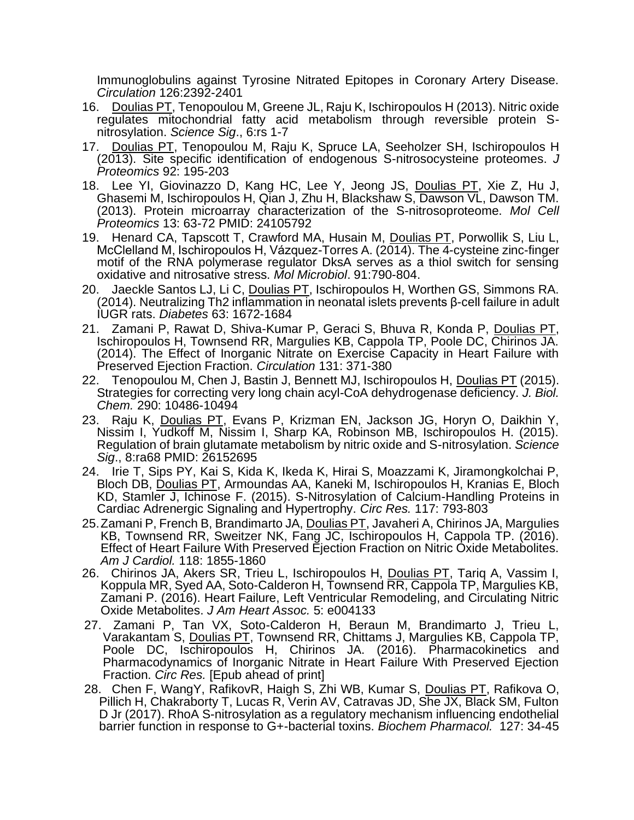[Immunoglobulins against Tyrosine Nitrated Epitopes in Coronary Artery Disease.](http://proxy.library.upenn.edu:2082/pubmed/23081989) *Circulation* 126:2392-2401

- 16. Doulias PT, Tenopoulou M, Greene JL, Raju K, Ischiropoulos H (2013). Nitric oxide regulates mitochondrial fatty acid metabolism through reversible protein Snitrosylation. *Science Sig*., 6:rs 1-7
- 17. Doulias PT, Tenopoulou M, Raju K, Spruce LA, Seeholzer SH, Ischiropoulos H (2013). Site specific identification of endogenous S-nitrosocysteine proteomes. *J Proteomics* 92: 195-203
- 18. Lee YI, Giovinazzo D, Kang HC, Lee Y, Jeong JS, Doulias PT, Xie Z, Hu J, Ghasemi M, Ischiropoulos H, Qian J, Zhu H, Blackshaw S, Dawson VL, Dawson TM. (2013). [Protein microarray characterization of the S-nitrosoproteome.](http://proxy.library.upenn.edu:2082/pubmed/24105792) *Mol Cell Proteomics* 13: 63-72 PMID: 24105792
- 19. Henard CA, Tapscott T, Crawford MA, Husain M, Doulias PT, Porwollik S, Liu L, McClelland M, Ischiropoulos H, Vázquez-Torres A. (2014)[. The 4-cysteine zinc-finger](http://proxy.library.upenn.edu:2066/pubmed/24354846)  [motif of the RNA polymerase regulator DksA serves as a thiol switch for sensing](http://proxy.library.upenn.edu:2066/pubmed/24354846)  oxidative and [nitrosative stress.](http://proxy.library.upenn.edu:2066/pubmed/24354846) *Mol Microbiol*. 91:790-804.
- 20. Jaeckle Santos LJ, Li C, Doulias PT, Ischiropoulos H, Worthen GS, Simmons RA. (2014). [Neutralizing Th2 inflammation in neonatal islets prevents β-cell failure in adult](http://proxy.library.upenn.edu:2066/pubmed/24408314)  [IUGR rats.](http://proxy.library.upenn.edu:2066/pubmed/24408314) *Diabetes* 63: 1672-1684
- 21. Zamani P, Rawat D, Shiva-Kumar P, Geraci S, Bhuva R, Konda P, Doulias PT, Ischiropoulos H, Townsend RR, Margulies KB, Cappola TP, Poole DC, Chirinos JA. (2014). [The Effect of Inorganic Nitrate on Exercise Capacity in Heart Failure with](http://www.ncbi.nlm.nih.gov/pubmed/25533966)  [Preserved Ejection Fraction.](http://www.ncbi.nlm.nih.gov/pubmed/25533966) *Circulation* 131: 371-380
- 22. Tenopoulou M, Chen J, Bastin J, Bennett MJ, Ischiropoulos H, Doulias PT (2015). Strategies for correcting very long chain acyl-CoA dehydrogenase deficiency. *J. Biol. Chem.* 290: 10486-10494
- 23. Raju K, Doulias PT, Evans P, Krizman EN, Jackson JG, Horyn O, Daikhin Y, Nissim I, Yudkoff M, Nissim I, Sharp KA, Robinson MB, Ischiropoulos H. (2015). Regulation of brain glutamate metabolism by nitric oxide and S-nitrosylation. *Science Sig*., 8:ra68 PMID: 26152695
- 24. Irie T, Sips PY, Kai S, Kida K, Ikeda K, Hirai S, Moazzami K, Jiramongkolchai P, Bloch DB, Doulias PT, Armoundas AA, Kaneki M, Ischiropoulos H, Kranias E, Bloch KD, Stamler J, Ichinose F. (2015). S-Nitrosylation of Calcium-Handling Proteins in Cardiac Adrenergic Signaling and Hypertrophy. *Circ Res.* 117: 793-803
- 25. Zamani P, French B, Brandimarto JA, Doulias PT, Javaheri A, Chirinos JA, Margulies KB, Townsend RR, Sweitzer NK, Fang JC, Ischiropoulos H, Cappola TP. (2016). [Effect of Heart Failure With Preserved Ejection Fraction on Nitric Oxide Metabolites.](https://proxy.library.upenn.edu:2063/pubmed/27742422) *Am J Cardiol.* 118: 1855-1860
- 26. Chirinos JA, Akers SR, Trieu L, Ischiropoulos H, Doulias PT, Tariq A, Vassim I, Koppula MR, Syed AA, Soto-Calderon H, Townsend RR, Cappola TP, Margulies KB, Zamani P. (2016). [Heart Failure, Left Ventricular Remodeling, and Circulating Nitric](https://proxy.library.upenn.edu:2063/pubmed/27742619)  [Oxide Metabolites.](https://proxy.library.upenn.edu:2063/pubmed/27742619) *J Am Heart Assoc.* 5: e004133
- 27. Zamani P, Tan VX, Soto-Calderon H, Beraun M, Brandimarto J, Trieu L, Varakantam S, Doulias PT, Townsend RR, Chittams J, Margulies KB, Cappola TP, Poole DC, Ischiropoulos H, Chirinos JA. (2016). Pharmacokinetics and [Pharmacodynamics of Inorganic Nitrate in Heart Failure With Preserved Ejection](https://proxy.library.upenn.edu:2063/pubmed/27927683)  [Fraction.](https://proxy.library.upenn.edu:2063/pubmed/27927683) *Circ Res.* [Epub ahead of print]
- 28. Chen F, WangY, RafikovR, Haigh S, Zhi WB, Kumar S, Doulias PT, Rafikova O, Pillich H, Chakraborty T, Lucas R, Verin AV, Catravas JD, She JX, Black SM, Fulton D Jr (2017). RhoA S-nitrosylation as a regulatory mechanism influencing endothelial barrier function in response to G+-bacterial toxins. *Biochem Pharmacol.* 127: 34-45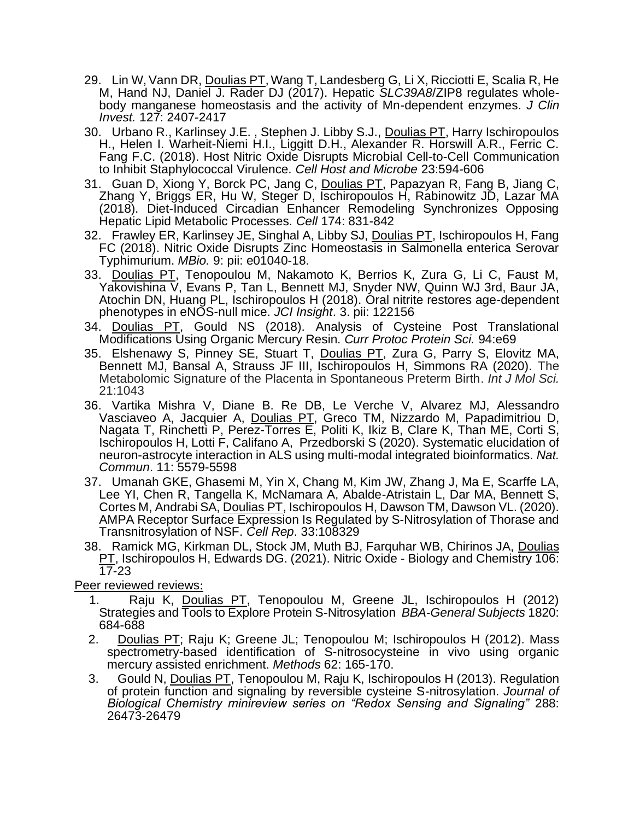- 29. Lin W,Vann DR, Doulias PT, Wang T, Landesberg G, Li X, Ricciotti E, Scalia R, He M, Hand NJ, Daniel J. Rader DJ (2017). Hepatic *SLC39A8*/ZIP8 regulates wholebody manganese homeostasis and the activity of Mn-dependent enzymes. *J Clin Invest.* 127: 2407-2417
- 30. Urbano R., Karlinsey J.E., Stephen J. Libby S.J., Doulias PT, Harry Ischiropoulos H., Helen I. Warheit-Niemi H.I., Liggitt D.H., Alexander R. Horswill A.R., Ferric C. Fang F.C. (2018). Host Nitric Oxide Disrupts Microbial Cell-to-Cell Communication to Inhibit Staphylococcal Virulence. *Cell Host and Microbe* 23:594-606
- 31. Guan D, Xiong Y, Borck PC, Jang C, Doulias PT, Papazyan R, Fang B, Jiang C, Zhang Y, Briggs ER, Hu W, Steger D, Ischiropoulos H, Rabinowitz JD, Lazar MA (2018). Diet-Induced Circadian Enhancer Remodeling Synchronizes Opposing Hepatic Lipid Metabolic Processes. *Cell* 174: 831-842
- 32. Frawley ER, Karlinsey JE, Singhal A, Libby SJ, Doulias PT, Ischiropoulos H, Fang FC (2018). Nitric Oxide Disrupts Zinc Homeostasis in Salmonella enterica Serovar Typhimurium. *MBio.* 9: pii: e01040-18.
- 33. Doulias PT, Tenopoulou M, Nakamoto K, Berrios K, Zura G, Li C, Faust M, Yakovishina V, Evans P, Tan L, Bennett MJ, Snyder NW, Quinn WJ 3rd, Baur JA, Atochin DN, Huang PL, Ischiropoulos H (2018). Oral nitrite restores age-dependent phenotypes in eNOS-null mice. *JCI Insight*. 3. pii: 122156
- 34. Doulias PT, Gould NS (2018). Analysis of Cysteine Post Translational Modifications Using Organic Mercury Resin. *Curr Protoc Protein Sci.* 94:e69
- 35. Elshenawy S, Pinney SE, Stuart T, Doulias PT, Zura G, Parry S, Elovitz MA, Bennett MJ, Bansal A, Strauss JF III, Ischiropoulos H, Simmons RA (2020). The Metabolomic Signature of the Placenta in Spontaneous Preterm Birth. *Int J Mol Sci.* 21:1043
- 36. Vartika Mishra V, Diane B. Re DB, Le Verche V, Alvarez MJ, Alessandro Vasciaveo A, Jacquier A, *Doulias PT*, Greco TM, Nizzardo M, Papadimitriou D, Nagata T, Rinchetti P, Perez-Torres E, Politi K, Ikiz B, Clare K, Than ME, Corti S, Ischiropoulos H, Lotti F, Califano A, Przedborski S (2020). Systematic elucidation of neuron-astrocyte interaction in ALS using multi-modal integrated bioinformatics. *Nat. Commun*. 11: 5579-5598
- 37. Umanah GKE, Ghasemi M, Yin X, Chang M, Kim JW, Zhang J, Ma E, Scarffe LA, Lee YI, Chen R, Tangella K, McNamara A, Abalde-Atristain L, Dar MA, Bennett S, Cortes M, Andrabi SA, Doulias PT, Ischiropoulos H, Dawson TM, Dawson VL. (2020). AMPA Receptor Surface Expression Is Regulated by S-Nitrosylation of Thorase and Transnitrosylation of NSF. *Cell Rep*. 33:108329
- 38. Ramick MG, Kirkman DL, Stock JM, Muth BJ, Farquhar WB, Chirinos JA, Doulias PT, Ischiropoulos H, Edwards DG. (2021). Nitric Oxide - Biology and Chemistry 106:  $\overline{17}$ -23

Peer reviewed reviews:

- 1. Raju K, Doulias PT, Tenopoulou M, Greene JL, Ischiropoulos H (2012) Strategies and Tools to Explore Protein S-Nitrosylation *BBA-General Subjects* 1820: 684-688
- 2. Doulias PT; Raju K; Greene JL; Tenopoulou M; Ischiropoulos H (2012). Mass spectrometry-based identification of S-nitrosocysteine in vivo using organic mercury assisted enrichment. *Methods* 62: 165-170.
- 3. Gould N, Doulias PT, Tenopoulou M, Raju K, Ischiropoulos H (2013). Regulation of protein function and signaling by reversible cysteine S-nitrosylation. *Journal of Biological Chemistry minireview series on "Redox Sensing and Signaling"* 288: 26473-26479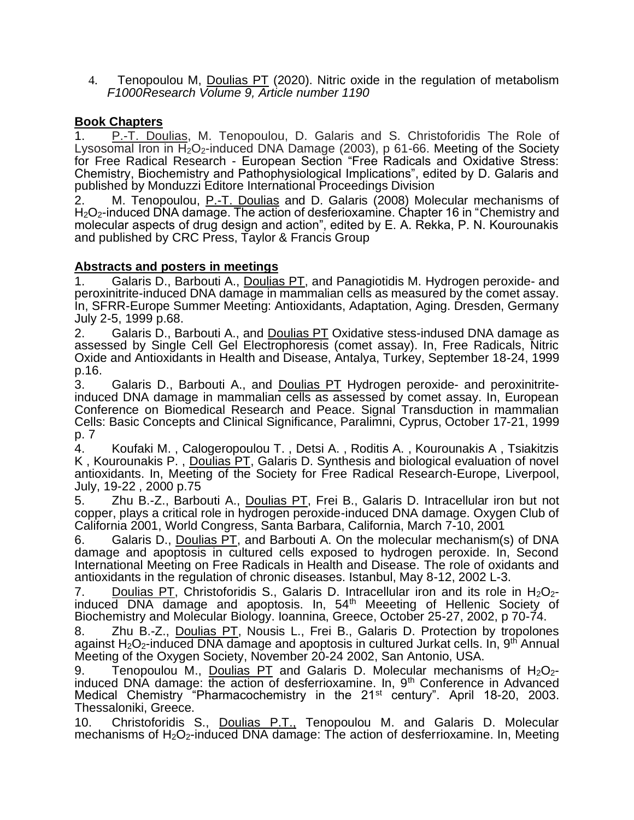4. Tenopoulou M, Doulias PT (2020). Nitric oxide in the regulation of metabolism *F1000Research Volume 9, Article number 1190*

## **Book Chapters**

1. P.-T. Doulias, M. Tenopoulou, D. Galaris and S. Christoforidis The Role of Lysosomal Iron in  $H_2O_2$ -induced DNA Damage (2003), p 61-66. Meeting of the Society for Free Radical Research - European Section "Free Radicals and Oxidative Stress: Chemistry, Biochemistry and Pathophysiological Implications", edited by D. Galaris and published by Monduzzi Editore International Proceedings Division

2. M. Tenopoulou, P.-T. Doulias and D. Galaris (2008) Molecular mechanisms of H<sub>2</sub>O<sub>2</sub>-induced DNA damage. The action of desferioxamine. Chapter 16 in "Chemistry and molecular aspects of drug design and action", edited by E. A. Rekka, P. N. Kourounakis and published by CRC Press, Taylor & Francis Group

### **Abstracts and posters in meetings**

1. Galaris D., Barbouti A., Doulias PT, and Panagiotidis M. Hydrogen peroxide- and peroxinitrite-induced DNA damage in mammalian cells as measured by the comet assay. In, SFRR-Europe Summer Meeting: Antioxidants, Adaptation, Aging. Dresden, Germany July 2-5, 1999 p.68.

2. Galaris D., Barbouti A., and Doulias PT Oxidative stess-indused DNA damage as assessed by Single Cell Gel Electrophoresis (comet assay). In, Free Radicals, Nitric Oxide and Antioxidants in Health and Disease, Antalya, Turkey, September 18-24, 1999 p.16.

3. Galaris D., Barbouti A., and Doulias PT Hydrogen peroxide- and peroxinitriteinduced DNA damage in mammalian cells as assessed by comet assay. In, European Conference on Biomedical Research and Peace. Signal Transduction in mammalian Cells: Basic Concepts and Clinical Significance, Paralimni, Cyprus, October 17-21, 1999 p. 7

4. Koufaki M. , Calogeropoulou T. , Detsi A. , Roditis A. , Kourounakis A , Tsiakitzis K , Kourounakis P. , Doulias PT, Galaris D. Synthesis and biological evaluation of novel antioxidants. In, Meeting of the Society for Free Radical Research-Europe, Liverpool, July, 19-22 , 2000 p.75

5. Zhu B.-Z., Barbouti A., Doulias PT, Frei B., Galaris D. Intracellular iron but not copper, plays a critical role in hydrogen peroxide-induced DNA damage. Oxygen Club of California 2001, World Congress, Santa Barbara, California, March 7-10, 2001

6. Galaris D., Doulias PT, and Barbouti A. On the molecular mechanism(s) of DNA damage and apoptosis in cultured cells exposed to hydrogen peroxide. In, Second International Meeting on Free Radicals in Health and Disease. The role of oxidants and antioxidants in the regulation of chronic diseases. Istanbul, May 8-12, 2002 L-3.

7. Doulias PT, Christoforidis S., Galaris D. Intracellular iron and its role in  $H_2O_2$ induced DNA damage and apoptosis. In, 54th Meeeting of Hellenic Society of Biochemistry and Molecular Biology. Ioannina, Greece, October 25-27, 2002, p 70-74.

8. Zhu B.-Z., Doulias PT, Nousis L., Frei B., Galaris D. Protection by tropolones against  $H_2O_2$ -induced DNA damage and apoptosis in cultured Jurkat cells. In, 9<sup>th</sup> Annual Meeting of the Oxygen Society, November 20-24 2002, San Antonio, USA.

9. Tenopoulou M., Doulias PT and Galaris D. Molecular mechanisms of  $H_2O_{2}$ induced DNA damage: the action of desferrioxamine. In,  $9<sup>th</sup>$  Conference in Advanced Medical Chemistry "Pharmacochemistry in the 21<sup>st</sup> century". April 18-20, 2003. Thessaloniki, Greece.

10. Christoforidis S., Doulias P.T., Tenopoulou M. and Galaris D. Molecular mechanisms of  $H_2O_2$ -induced DNA damage: The action of desferrioxamine. In, Meeting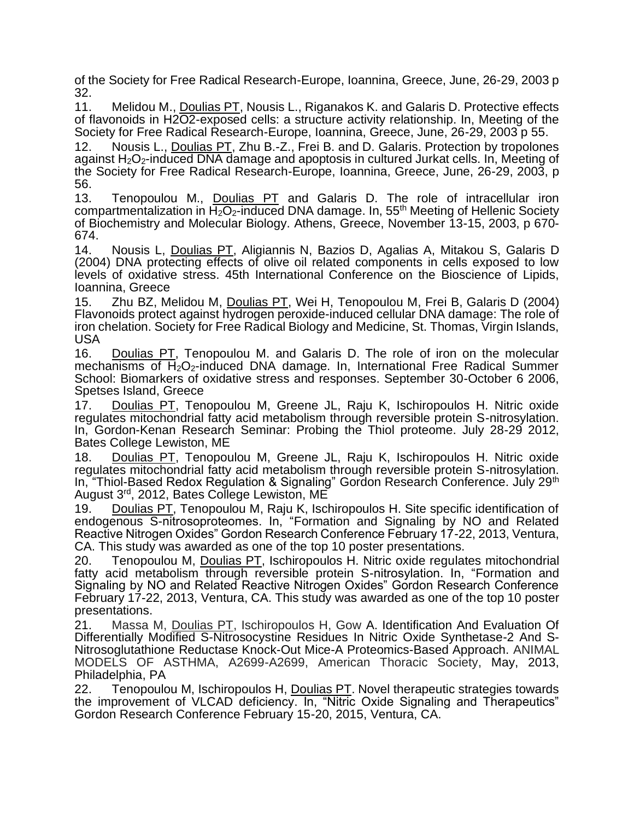of the Society for Free Radical Research-Europe, Ioannina, Greece, June, 26-29, 2003 p 32.

11. Melidou M., Doulias PT, Nousis L., Riganakos K. and Galaris D. Protective effects of flavonoids in H2O2-exposed cells: a structure activity relationship. In, Meeting of the Society for Free Radical Research-Europe, Ioannina, Greece, June, 26-29, 2003 p 55.

12. Nousis L., Doulias PT, Zhu B.-Z., Frei B. and D. Galaris. Protection by tropolones against H2O2-induced DNA damage and apoptosis in cultured Jurkat cells. In, Meeting of the Society for Free Radical Research-Europe, Ioannina, Greece, June, 26-29, 2003, p 56.

13. Tenopoulou M., Doulias PT and Galaris D. The role of intracellular iron compartmentalization in  $H_2O_2$ -induced DNA damage. In, 55<sup>th</sup> Meeting of Hellenic Society of Biochemistry and Molecular Biology. Athens, Greece, November 13-15, 2003, p 670- 674.

14. [Nousis L,](http://proxy.library.upenn.edu:2079/DaisyOneClickSearch.do?product=WOS&search_mode=DaisyOneClickSearch&db_id=&SID=3AC5j7e8lABdinDcfDj&name=Nousis%20L&ut=000221583100101&pos=1) [Doulias PT,](http://proxy.library.upenn.edu:2079/DaisyOneClickSearch.do?product=WOS&search_mode=DaisyOneClickSearch&db_id=&SID=3AC5j7e8lABdinDcfDj&name=Doulias%20PT&ut=000221583100101&pos=2) [Aligiannis N,](http://proxy.library.upenn.edu:2079/DaisyOneClickSearch.do?product=WOS&search_mode=DaisyOneClickSearch&db_id=&SID=3AC5j7e8lABdinDcfDj&name=Aligiannis%20N&ut=000221583100101&pos=3) [Bazios D,](http://proxy.library.upenn.edu:2079/DaisyOneClickSearch.do?product=WOS&search_mode=DaisyOneClickSearch&db_id=&SID=3AC5j7e8lABdinDcfDj&name=Bazios%20D&ut=000221583100101&pos=4) [Agalias A,](http://proxy.library.upenn.edu:2079/DaisyOneClickSearch.do?product=WOS&search_mode=DaisyOneClickSearch&db_id=&SID=3AC5j7e8lABdinDcfDj&name=Agalias%20A&ut=000221583100101&pos=5) [Mitakou S,](http://proxy.library.upenn.edu:2079/DaisyOneClickSearch.do?product=WOS&search_mode=DaisyOneClickSearch&db_id=&SID=3AC5j7e8lABdinDcfDj&name=Mitakou%20S&ut=000221583100101&pos=6) [Galaris D](http://proxy.library.upenn.edu:2079/DaisyOneClickSearch.do?product=WOS&search_mode=DaisyOneClickSearch&db_id=&SID=3AC5j7e8lABdinDcfDj&name=Galaris%20D&ut=000221583100101&pos=7) (2004) DNA protecting effects of olive oil related components in cells exposed to low levels of oxidative stress. 45th International Conference on the Bioscience of Lipids, Ioannina, Greece

15. [Zhu BZ,](http://proxy.library.upenn.edu:2079/DaisyOneClickSearch.do?product=WOS&search_mode=DaisyOneClickSearch&db_id=&SID=3AC5j7e8lABdinDcfDj&name=Zhu%20BZ&ut=000225458900125&pos=1) [Melidou M,](http://proxy.library.upenn.edu:2079/DaisyOneClickSearch.do?product=WOS&search_mode=DaisyOneClickSearch&db_id=&SID=3AC5j7e8lABdinDcfDj&name=Melidou%20M&ut=000225458900125&pos=2) [Doulias PT,](http://proxy.library.upenn.edu:2079/DaisyOneClickSearch.do?product=WOS&search_mode=DaisyOneClickSearch&db_id=&SID=3AC5j7e8lABdinDcfDj&name=Doulias%20PT&ut=000225458900125&pos=3) [Wei H,](http://proxy.library.upenn.edu:2079/DaisyOneClickSearch.do?product=WOS&search_mode=DaisyOneClickSearch&db_id=&SID=3AC5j7e8lABdinDcfDj&name=Wei%20H&ut=000225458900125&pos=4) [Tenopoulou M,](http://proxy.library.upenn.edu:2079/DaisyOneClickSearch.do?product=WOS&search_mode=DaisyOneClickSearch&db_id=&SID=3AC5j7e8lABdinDcfDj&name=Tenopoulou%20M&ut=000225458900125&pos=5) [Frei B,](http://proxy.library.upenn.edu:2079/DaisyOneClickSearch.do?product=WOS&search_mode=DaisyOneClickSearch&db_id=&SID=3AC5j7e8lABdinDcfDj&name=Frei%20B&ut=000225458900125&pos=6) [Galaris D](http://proxy.library.upenn.edu:2079/DaisyOneClickSearch.do?product=WOS&search_mode=DaisyOneClickSearch&db_id=&SID=3AC5j7e8lABdinDcfDj&name=Galaris%20D&ut=000225458900125&pos=7) (2004) Flavonoids protect against hydrogen peroxide-induced cellular DNA damage: The role of iron chelation. Society for Free Radical Biology and Medicine, St. Thomas, Virgin Islands, USA

16. Doulias PT, Tenopoulou M. and Galaris D. The role of iron on the molecular mechanisms of  $H_2O_2$ -induced DNA damage. In, International Free Radical Summer School: Biomarkers of oxidative stress and responses. September 30-October 6 2006, Spetses Island, Greece

17. Doulias PT, Tenopoulou M, Greene JL, Raju K, Ischiropoulos H. Nitric oxide regulates mitochondrial fatty acid metabolism through reversible protein S-nitrosylation. In, Gordon-Kenan Research Seminar: Probing the Thiol proteome. July 28-29 2012, Bates College Lewiston, ME

18. Doulias PT, Tenopoulou M, Greene JL, Raju K, Ischiropoulos H. Nitric oxide regulates mitochondrial fatty acid metabolism through reversible protein S-nitrosylation. In, "Thiol-Based Redox Regulation & Signaling" Gordon Research Conference. July 29<sup>th</sup> August 3rd, 2012, Bates College Lewiston, ME

19. Doulias PT, Tenopoulou M, Raju K, Ischiropoulos H. Site specific identification of endogenous S-nitrosoproteomes. In, "Formation and Signaling by NO and Related Reactive Nitrogen Oxides" Gordon Research Conference February 17-22, 2013, Ventura, CA. This study was awarded as one of the top 10 poster presentations.

20. Tenopoulou M, Doulias PT, Ischiropoulos H. Nitric oxide regulates mitochondrial fatty acid metabolism through reversible protein S-nitrosylation. In, "Formation and Signaling by NO and Related Reactive Nitrogen Oxides" Gordon Research Conference February 17-22, 2013, Ventura, CA. This study was awarded as one of the top 10 poster presentations.

21. Massa M, Doulias PT, Ischiropoulos H, Gow A. Identification And Evaluation Of Differentially Modified S-Nitrosocystine Residues In Nitric Oxide Synthetase-2 And S-Nitrosoglutathione Reductase Knock-Out Mice-A Proteomics-Based Approach. ANIMAL MODELS OF ASTHMA, A2699-A2699, American Thoracic Society, May, 2013, Philadelphia, PA

22. Tenopoulou M, Ischiropoulos H, Doulias PT. Novel therapeutic strategies towards the improvement of VLCAD deficiency. In, "Nitric Oxide Signaling and Therapeutics" Gordon Research Conference February 15-20, 2015, Ventura, CA.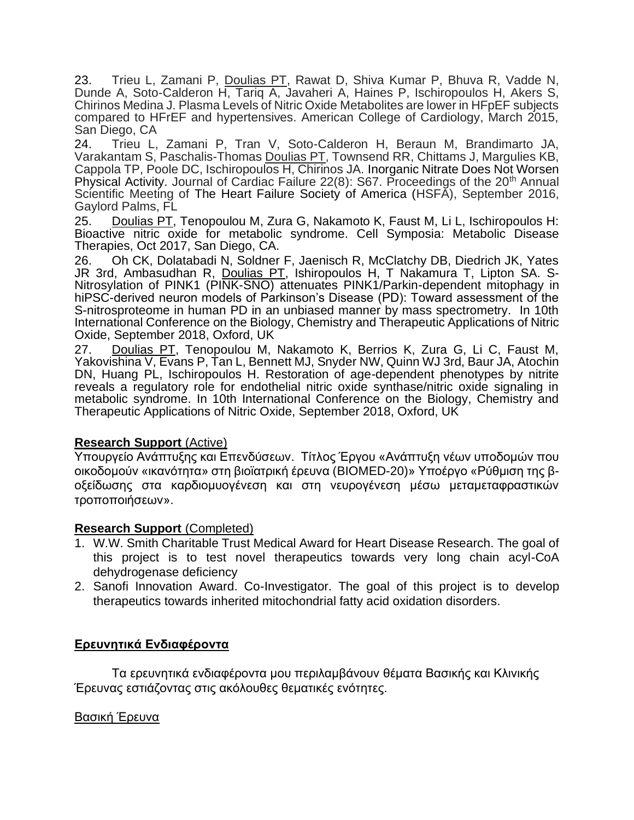23. Trieu L, Zamani P, Doulias PT, Rawat D, Shiva Kumar P, Bhuva R, Vadde N, Dunde A, Soto-Calderon H, Tariq A, Javaheri A, Haines P, Ischiropoulos H, Akers S, Chirinos Medina J. Plasma Levels of Nitric Oxide Metabolites are lower in HFpEF subjects compared to HFrEF and hypertensives. American College of Cardiology, March 2015, San Diego, CA

24. Trieu L, Zamani P, Tran V, Soto-Calderon H, Beraun M, Brandimarto JA, Varakantam S, Paschalis-Thomas Doulias PT, Townsend RR, Chittams J, Margulies KB, Cappola TP, Poole DC, Ischiropoulos H, Chirinos JA. Inorganic Nitrate Does Not Worsen Physical Activity. Journal of Cardiac Failure 22(8): S67. Proceedings of the 20<sup>th</sup> Annual Scientific Meeting of The Heart Failure Society of America (HSFA), September 2016, Gaylord Palms, FL

25. Doulias PT, Tenopoulou M, Zura G, Nakamoto K, Faust M, Li L, Ischiropoulos H: Bioactive nitric oxide for metabolic syndrome. Cell Symposia: Metabolic Disease Therapies, Oct 2017, San Diego, CA.

26. Oh CK, Dolatabadi N, Soldner F, Jaenisch R, McClatchy DB, Diedrich JK, Yates JR 3rd, Ambasudhan R, Doulias PT, Ishiropoulos H, T Nakamura T, Lipton SA. S-Nitrosylation of PINK1 (PINK-SNO) attenuates PINK1/Parkin-dependent mitophagy in hiPSC-derived neuron models of Parkinson's Disease (PD): Toward assessment of the S-nitrosproteome in human PD in an unbiased manner by mass spectrometry. In 10th International Conference on the Biology, Chemistry and Therapeutic Applications of Nitric Oxide, September 2018, Oxford, UK

27. Doulias PT, Tenopoulou M, Nakamoto K, Berrios K, Zura G, Li C, Faust M, Yakovishina V, Evans P, Tan L, Bennett MJ, Snyder NW, Quinn WJ 3rd, Baur JA, Atochin DN, Huang PL, Ischiropoulos H. Restoration of age-dependent phenotypes by nitrite reveals a regulatory role for endothelial nitric oxide synthase/nitric oxide signaling in metabolic syndrome. In 10th International Conference on the Biology, Chemistry and Therapeutic Applications of Nitric Oxide, September 2018, Oxford, UK

### **Research Support** (Active)

Υπουργείο Ανάπτυξης και Επενδύσεων. Τίτλος Έργου «Ανάπτυξη νέων υποδομών που οικοδομούν «ικανότητα» στη βιοϊατρική έρευνα (BIOMED-20)» Υποέργο «Ρύθμιση της βοξείδωσης στα καρδιομυογένεση και στη νευρογένεση μέσω μεταμεταφραστικών τροποποιήσεων».

## **Research Support** (Completed)

- 1. W.W. Smith Charitable Trust Medical Award for Heart Disease Research. The goal of this project is to test novel therapeutics towards very long chain acyl-CoA dehydrogenase deficiency
- 2. Sanofi Innovation Award. Co-Investigator. The goal of this project is to develop therapeutics towards inherited mitochondrial fatty acid oxidation disorders.

# **Ερευνητικά Ενδιαφέροντα**

Τα ερευνητικά ενδιαφέροντα μου περιλαμβάνουν θέματα Βασικής και Κλινικής Έρευνας εστιάζοντας στις ακόλουθες θεματικές ενότητες.

### Βασική Έρευνα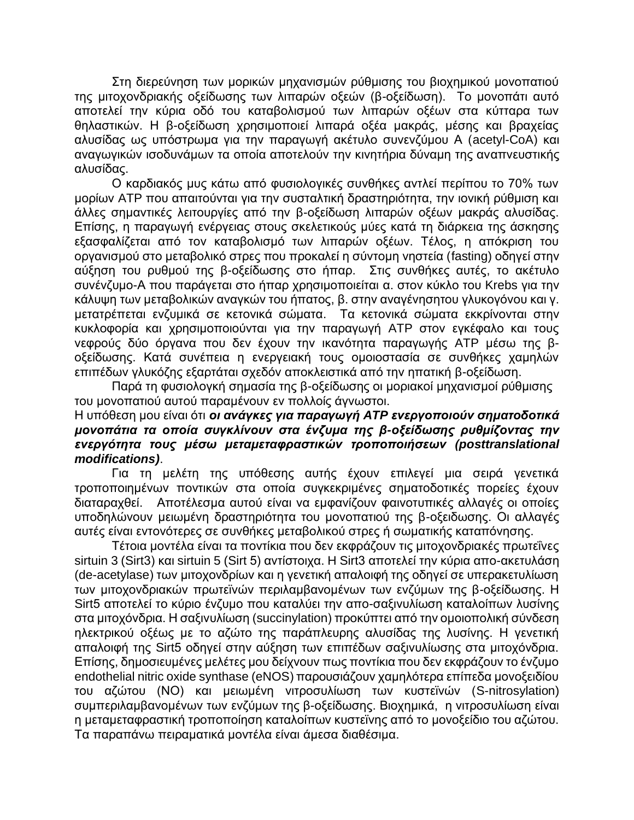Στη διερεύνηση των μορικών μηχανισμών ρύθμισης του βιοχημικού μονοπατιού της μιτοχονδριακής οξείδωσης των λιπαρών οξεών (β-οξείδωση). Το μονοπάτι αυτό αποτελεί την κύρια οδό του καταβολισμού των λιπαρών οξέων στα κύτταρα των θηλαστικών. Η β-οξείδωση χρησιμοποιεί λιπαρά οξέα μακράς, μέσης και βραχείας αλυσίδας ως υπόστρωμα για την παραγωγή ακέτυλο συνενζύμου Α (acetyl-CoA) και αναγωγικών ισοδυνάμων τα οποία αποτελούν την κινητήρια δύναμη της αναπνευστικής αλυσίδας.

Ο καρδιακός μυς κάτω από φυσιολογικές συνθήκες αντλεί περίπου το 70% των μορίων ATP που απαιτούνται για την συσταλτική δραστηριότητα, την ιονική ρύθμιση και άλλες σημαντικές λειτουργίες από την β-οξείδωση λιπαρών οξέων μακράς αλυσίδας. Επίσης, η παραγωγή ενέργειας στους σκελετικούς μύες κατά τη διάρκεια της άσκησης εξασφαλίζεται από τον καταβολισμό των λιπαρών οξέων. Τέλος, η απόκριση του οργανισμού στο μεταβολικό στρες που προκαλεί η σύντομη νηστεία (fasting) οδηγεί στην αύξηση του ρυθμού της β-οξείδωσης στο ήπαρ. Στις συνθήκες αυτές, το ακέτυλο συνένζυμο-Α που παράγεται στο ήπαρ χρησιμοποιείται α. στον κύκλο του Krebs για την κάλυψη των μεταβολικών αναγκών του ήπατος, β. στην αναγένησητου γλυκογόνου και γ. μετατρέπεται ενζυμικά σε κετονικά σώματα. Τα κετονικά σώματα εκκρίνονται στην κυκλοφορία και χρησιμοποιούνται για την παραγωγή ATP στον εγκέφαλο και τους νεφρούς δύο όργανα που δεν έχουν την ικανότητα παραγωγής ATP μέσω της βοξείδωσης. Κατά συνέπεια η ενεργειακή τους ομοιοστασία σε συνθήκες χαμηλών επιπέδων γλυκόζης εξαρτάται σχεδόν αποκλειστικά από την ηπατική β-οξείδωση.

Παρά τη φυσιολογκή σημασία της β-οξείδωσης οι μοριακοί μηχανισμοί ρύθμισης του μονοπατιού αυτού παραμένουν εν πολλοίς άγνωστοι.

## Η υπόθεση μου είναι ότι *οι ανάγκες για παραγωγή ATP ενεργοποιούν σηματοδοτικά μονοπάτια τα οποία συγκλίνουν στα ένζυμα της β-οξείδωσης ρυθμίζοντας την ενεργότητα τους μέσω μεταμεταφραστικών τροποποιήσεων (posttranslational modifications)*.

Για τη μελέτη της υπόθεσης αυτής έχουν επιλεγεί μια σειρά γενετικά τροποποιημένων ποντικών στα οποία συγκεκριμένες σηματοδοτικές πορείες έχουν διαταραχθεί. Αποτέλεσμα αυτού είναι να εμφανίζουν φαινοτυπικές αλλαγές οι οποίες υποδηλώνουν μειωμένη δραστηριότητα του μονοπατιού της β-οξειδωσης. Οι αλλαγές αυτές είναι εντονότερες σε συνθήκες μεταβολικού στρες ή σωματικής καταπόνησης.

Τέτοια μοντέλα είναι τα ποντίκια που δεν εκφράζουν τις μιτοχονδριακές πρωτεΐνες sirtuin 3 (Sirt3) και sirtuin 5 (Sirt 5) αντίστοιχα. H Sirt3 αποτελεί την κύρια απο-ακετυλάση (de-acetylase) των μιτοχονδρίων και η γενετική απαλοιφή της οδηγεί σε υπερακετυλίωση των μιτοχονδριακών πρωτεϊνών περιλαμβανομένων των ενζύμων της β-οξείδωσης. Η Sirt5 αποτελεί το κύριο ένζυμο που καταλύει την απο-σαξινυλίωση καταλοίπων λυσίνης στα μιτοχόνδρια. Η σαξινυλίωση (succinylation) προκύπτει από την ομοιοπολική σύνδεση ηλεκτρικού οξέως με το αζώτο της παράπλευρης αλυσίδας της λυσίνης. Η γενετική απαλοιφή της Sirt5 οδηγεί στην αύξηση των επιπέδων σαξινυλίωσης στα μιτοχόνδρια. Επίσης, δημοσιευμένες μελέτες μου δείχνουν πως ποντίκια που δεν εκφράζουν το ένζυμο endothelial nitric oxide synthase (eNOS) παρουσιάζουν χαμηλότερα επίπεδα μονοξειδίου του αζώτου (ΝΟ) και μειωμένη νιτροσυλίωση των κυστεϊνών (S-nitrosylation) συμπεριλαμβανομένων των ενζύμων της β-οξείδωσης. Βιοχημικά, η νιτροσυλίωση είναι η μεταμεταφραστική τροποποίηση καταλοίπων κυστεϊνης από το μονοξείδιο του αζώτου. Τα παραπάνω πειραματικά μοντέλα είναι άμεσα διαθέσιμα.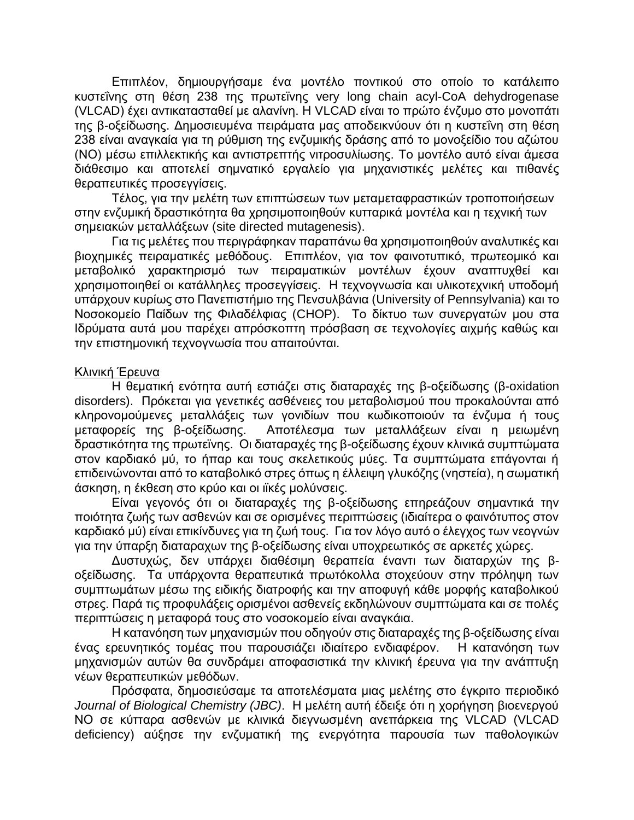Επιπλέον, δημιουργήσαμε ένα μοντέλο ποντικού στο οποίο το κατάλειπο κυστεΐνης στη θέση 238 της πρωτεϊνης very long chain acyl-CoA dehydrogenase (VLCAD) έχει αντικατασταθεί με αλανίνη. Η VLCAD είναι το πρώτο ένζυμο στο μονοπάτι της β-οξείδωσης. Δημοσιευμένα πειράματα μας αποδεικνύουν ότι η κυστεΐνη στη θέση 238 είναι αναγκαία για τη ρύθμιση της ενζυμικής δράσης από το μονοξείδιο του αζώτου (ΝΟ) μέσω επιλλεκτικής και αντιστρεπτής νιτροσυλίωσης. Το μοντέλο αυτό είναι άμεσα διάθεσιμο και αποτελεί σημνατικό εργαλείο για μηχανιστικές μελέτες και πιθανές θεραπευτικές προσεγγίσεις.

Τέλος, για την μελέτη των επιπτώσεων των μεταμεταφραστικών τροποποιήσεων στην ενζυμική δραστικότητα θα χρησιμοποιηθούν κυτταρικά μοντέλα και η τεχνική των σημειακών μεταλλάξεων (site directed mutagenesis).

Για τις μελέτες που περιγράφηκαν παραπάνω θα χρησιμοποιηθούν αναλυτικές και βιοχημικές πειραματικές μεθόδους. Επιπλέον, για τον φαινοτυπικό, πρωτεομικό και μεταβολικό χαρακτηρισμό των πειραματικών μοντέλων έχουν αναπτυχθεί και χρησιμοποιηθεί οι κατάλληλες προσεγγίσεις. Η τεχνογνωσία και υλικοτεχνική υποδομή υπάρχουν κυρίως στο Πανεπιστήμιο της Πενσυλβάνια (University of Pennsylvania) και το Νοσοκομείο Παίδων της Φιλαδέλφιας (CHOP). Το δίκτυο των συνεργατών μου στα Ιδρύματα αυτά μου παρέχει απρόσκοπτη πρόσβαση σε τεχνολογίες αιχμής καθώς και την επιστημονική τεχνογνωσία που απαιτούνται.

#### Κλινική Έρευνα

Η θεματική ενότητα αυτή εστιάζει στις διαταραχές της β-οξείδωσης (β-oxidation disorders). Πρόκεται για γενετικές ασθένειες του μεταβολισμού που προκαλούνται από κληρονομούμενες μεταλλάξεις των γονιδίων που κωδικοποιούν τα ένζυμα ή τους μεταφορείς της β-οξείδωσης. Αποτέλεσμα των μεταλλάξεων είναι η μειωμένη δραστικότητα της πρωτεϊνης. Οι διαταραχές της β-οξείδωσης έχουν κλινικά συμπτώματα στον καρδιακό μύ, το ήπαρ και τους σκελετικούς μύες. Τα συμπτώματα επάγονται ή επιδεινώνονται από το καταβολικό στρες όπως η έλλειψη γλυκόζης (νηστεία), η σωματική άσκηση, η έκθεση στο κρύο και οι ιϊκές μολύνσεις.

Είναι γεγονός ότι οι διαταραχές της β-οξείδωσης επηρεάζουν σημαντικά την ποιότητα ζωής των ασθενών και σε ορισμένες περιπτώσεις (ιδιαίτερα ο φαινότυπος στον καρδιακό μύ) είναι επικίνδυνες για τη ζωή τους. Για τον λόγο αυτό ο έλεγχος των νεογνών για την ύπαρξη διαταραχων της β-οξείδωσης είναι υποχρεωτικός σε αρκετές χώρες.

Δυστυχώς, δεν υπάρχει διαθέσιμη θεραπεία έναντι των διαταρχών της βοξείδωσης. Τα υπάρχοντα θεραπευτικά πρωτόκολλα στοχεύουν στην πρόληψη των συμπτωμάτων μέσω της ειδικής διατροφής και την αποφυγή κάθε μορφής καταβολικού στρες. Παρά τις προφυλάξεις ορισμένοι ασθενείς εκδηλώνουν συμπτώματα και σε πολές περιπτώσεις η μεταφορά τους στο νοσοκομείο είναι αναγκάια.

Η κατανόηση των μηχανισμών που οδηγούν στις διαταραχές της β-οξείδωσης είναι ένας ερευνητικός τομέας που παρουσιάζει ιδιαίτερο ενδιαφέρον. Η κατανόηση των μηχανισμών αυτών θα συνδράμει αποφασιστικά την κλινική έρευνα για την ανάπτυξη νέων θεραπευτικών μεθόδων.

Πρόσφατα, δημοσιεύσαμε τα αποτελέσματα μιας μελέτης στο έγκριτο περιοδικό *Journal of Biological Chemistry (JBC)*. Η μελέτη αυτή έδειξε ότι η χορήγηση βιοενεργού ΝΟ σε κύτταρα ασθενών με κλινικά διεγνωσμένη ανεπάρκεια της VLCAD (VLCAD deficiency) αύξησε την ενζυματική της ενεργότητα παρουσία των παθολογικών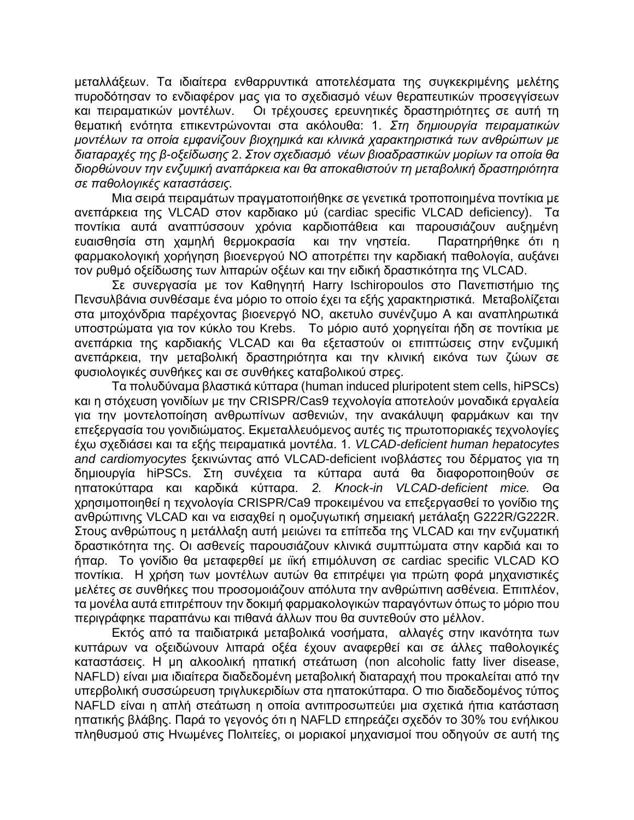μεταλλάξεων. Τα ιδιαίτερα ενθαρρυντικά αποτελέσματα της συγκεκριμένης μελέτης πυροδότησαν το ενδιαφέρον μας για το σχεδιασμό νέων θεραπευτικών προσεγγίσεων και πειραματικών μοντέλων. Οι τρέχουσες ερευνητικές δραστηριότητες σε αυτή τη θεματική ενότητα επικεντρώνονται στα ακόλουθα: 1. *Στη δημιουργία πειραματικών μοντέλων τα οποία εμφανίζουν βιοχημικά και κλινικά χαρακτηριστικά των ανθρώπων με διαταραχές της β-οξείδωσης* 2. *Στον σχεδιασμό νέων βιοαδραστικών μορίων τα οποία θα διορθώνουν την ενζυμική αναπάρκεια και θα αποκαθιστούν τη μεταβολική δραστηριότητα σε παθολογικές καταστάσεις.*

Μια σειρά πειραμάτων πραγματοποιήθηκε σε γενετικά τροποποιημένα ποντίκια με ανεπάρκεια της VLCAD στον καρδιακο μύ (cardiac specific VLCAD deficiency). Τα ποντίκια αυτά αναπτύσσουν χρόνια καρδιοπάθεια και παρουσιάζουν αυξημένη ευαισθησία στη χαμηλή θερμοκρασία και την νηστεία. Παρατηρήθηκε ότι η φαρμακολογική χορήγηση βιοενεργού ΝΟ αποτρέπει την καρδιακή παθολογία, αυξάνει τον ρυθμό οξείδωσης των λιπαρών οξέων και την ειδική δραστικότητα της VLCAD.

Σε συνεργασία με τον Καθηγητή Harry Ischiropoulos στο Πανεπιστήμιο της Πενσυλβάνια συνθέσαμε ένα μόριο το οποίο έχει τα εξής χαρακτηριστικά. Μεταβολίζεται στα μιτοχόνδρια παρέχοντας βιοενεργό ΝΟ, ακετυλο συνένζυμο Α και αναπληρωτικά υποστρώματα για τον κύκλο του Krebs. Το μόριο αυτό χορηγείται ήδη σε ποντίκια με ανεπάρκια της καρδιακής VLCAD και θα εξεταστούν οι επιπτώσεις στην ενζυμική ανεπάρκεια, την μεταβολική δραστηριότητα και την κλινική εικόνα των ζώων σε φυσιολογικές συνθήκες και σε συνθήκες καταβολικού στρες.

Τα πολυδύναμα βλαστικά κύτταρα (human induced pluripotent stem cells, hiPSCs) και η στόχευση γονιδίων με την CRISPR/Cas9 τεχνολογία αποτελούν μοναδικά εργαλεία για την μοντελοποίηση ανθρωπίνων ασθενιών, την ανακάλυψη φαρμάκων και την επεξεργασία του γονιδιώματος. Εκμεταλλευόμενος αυτές τις πρωτοποριακές τεχνολογίες έχω σχεδιάσει και τα εξής πειραματικά μοντέλα. 1. *VLCAD-deficient human hepatocytes and cardiomyocytes* ξεκινώντας από VLCAD-deficient ινοβλάστες του δέρματος για τη δημιουργία hiPSCs. Στη συνέχεια τα κύτταρα αυτά θα διαφοροποιηθούν σε ηπατοκύτταρα και καρδικά κύτταρα. *2. Κnock-in VLCAD-deficient mice.* Θα χρησιμοποιηθεί η τεχνολογία CRISPR/Ca9 προκειμένου να επεξεργασθεί το γονίδιο της ανθρώπινης VLCAD και να εισαχθεί η ομοζυγωτική σημειακή μετάλαξη G222R/G222R. Στους ανθρώπους η μετάλλαξη αυτή μειώνει τα επίπεδα της VLCAD και την ενζυματική δραστικότητα της. Οι ασθενείς παρουσιάζουν κλινικά συμπτώματα στην καρδιά και το ήπαρ. Το γονίδιο θα μεταφερθεί με ιϊκή επιμόλυνση σε cardiac specific VLCAD KO ποντίκια. Η χρήση των μοντέλων αυτών θα επιτρέψει για πρώτη φορά μηχανιστικές μελέτες σε συνθήκες που προσομοιάζουν απόλυτα την ανθρώπινη ασθένεια. Επιπλέον, τα μονέλα αυτά επιτρέπουν την δοκιμή φαρμακολογικών παραγόντων όπως το μόριο που περιγράφηκε παραπάνω και πιθανά άλλων που θα συντεθούν στο μέλλον.

Εκτός από τα παιδιατρικά μεταβολικά νοσήματα, αλλαγές στην ικανότητα των κυττάρων να οξειδώνουν λιπαρά οξέα έχουν αναφερθεί και σε άλλες παθολογικές καταστάσεις. Η μη αλκοολική ηπατική στεάτωση (non alcoholic fatty liver disease, NAFLD) είναι μια ιδιαίτερα διαδεδομένη μεταβολική διαταραχή που προκαλείται από την υπερβολική συσσώρευση τριγλυκεριδίων στα ηπατοκύτταρα. Ο πιο διαδεδομένος τύπος NAFLD είναι η απλή στεάτωση η οποία αντιπροσωπεύει μια σχετικά ήπια κατάσταση ηπατικής βλάβης. Παρά το γεγονός ότι η NAFLD επηρεάζει σχεδόν το 30% του ενήλικου πληθυσμού στις Ηνωμένες Πολιτείες, οι μοριακοί μηχανισμοί που οδηγούν σε αυτή της